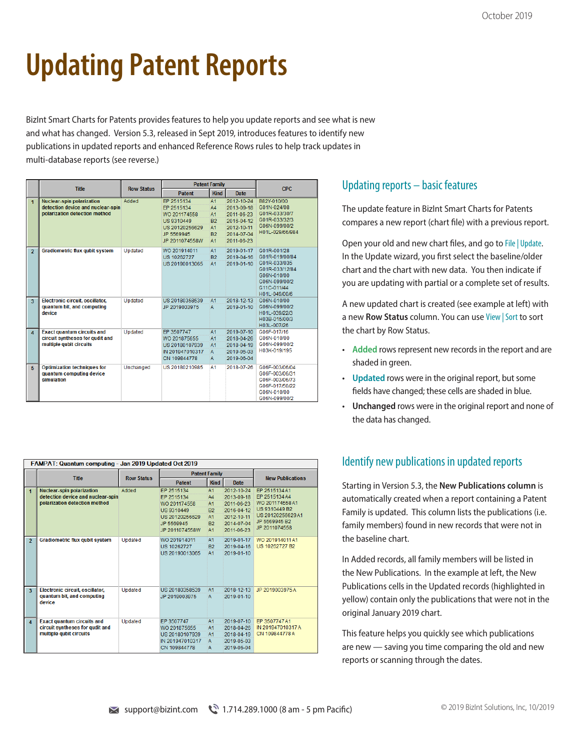# **Updating Patent Reports**

BizInt Smart Charts for Patents provides features to help you update reports and see what is new and what has changed. Version 5.3, released in Sept 2019, introduces features to identify new publications in updated reports and enhanced Reference Rows rules to help track updates in multi-database reports (see reverse.)

|                         | <b>Title</b>                                                                                           | <b>Row Status</b> | <b>Patent Family</b>                                                            |                                     |                                                                    | <b>CPC</b>                                                                                                                      |  |
|-------------------------|--------------------------------------------------------------------------------------------------------|-------------------|---------------------------------------------------------------------------------|-------------------------------------|--------------------------------------------------------------------|---------------------------------------------------------------------------------------------------------------------------------|--|
|                         |                                                                                                        |                   | <b>Patent</b>                                                                   | <b>Kind</b>                         | <b>Date</b>                                                        |                                                                                                                                 |  |
| $\mathbf{1}$            | <b>Nuclear-spin polarization</b><br>detection device and nuclear-spin<br>polarization detection method | Added             | EP 2515134<br>EP 2515134<br>WO 201174558<br>US9310449                           | A1<br>AA<br>A1<br>B2                | 2012-10-24<br>2013-09-18<br>2011-06-23<br>2016-04-12               | B82Y-010/00<br>G01N-024/08<br>G01R-033/30/7<br>G01R-033/32/3                                                                    |  |
|                         |                                                                                                        |                   | US 20120256629<br>JP 5569945<br>JP 2011074558W                                  | A1<br><b>B2</b><br>A1               | 2012-10-11<br>2014-07-04<br>2011-06-23                             | G06N-099/00/2<br>H01L-029/66/984                                                                                                |  |
| $\overline{2}$          | <b>Gradiometric flux qubit system</b>                                                                  | Updated           | WO 201914011<br>US 10262727<br>US 20190013065                                   | A1<br>B2<br>A1                      | 2019-01-17<br>2019-04-16<br>2019-01-10                             | G01R-001/28<br>G01R-019/00/84<br>G01R-033/035<br>G01R-033/12/84<br>G06N-010/00<br>G06N-099/00/2<br>G11C-011/44<br>H01L-049/00/6 |  |
| $\overline{\mathbf{3}}$ | Electronic circuit, oscillator,<br>quantum bit, and computing<br>device                                | Updated           | US 20180358539<br>JP 2019003975                                                 | A <sub>1</sub><br>A                 | 2018-12-13<br>2019-01-10                                           | G06N-010/00<br>G06N-099/00/2<br>H01L-039/22/3<br>H03B-015/00/3<br>H03L-007/26                                                   |  |
| $\overline{4}$          | <b>Exact quantum circuits and</b><br>circuit syntheses for gudit and<br>multiple qubit circuits        | Updated           | EP 3507747<br>WO 201875655<br>US 20180107939<br>IN 201947010317<br>CN 109844778 | A1<br>A1<br>A1<br>$\mathsf{A}$<br>A | 2019-07-10<br>2018-04-26<br>2018-04-19<br>2019-05-03<br>2019-06-04 | G06F-017/16<br>G06N-010/00<br>G06N-099/00/2<br>H03K-019/195                                                                     |  |
| 5                       | <b>Optimization techniques for</b><br>quantum computing device<br>simulation                           | Unchanged         | US 20180210985                                                                  | A1                                  | 2018-07-26                                                         | G06F-003/06/04<br>G06F-003/06/31<br>G06F-003/06/73<br>G06F-017/50/22<br>G06N-010/00<br>G06N-099/00/2                            |  |

| FAMPAT: Quantum computing - Jan 2019 Updated Oct 2019 |                                                                                                        |         |                                                                                        |                                                            |                                                                                  |                                                                                                          |  |  |
|-------------------------------------------------------|--------------------------------------------------------------------------------------------------------|---------|----------------------------------------------------------------------------------------|------------------------------------------------------------|----------------------------------------------------------------------------------|----------------------------------------------------------------------------------------------------------|--|--|
|                                                       | <b>Title</b>                                                                                           |         | <b>Patent Family</b><br><b>Row Status</b>                                              |                                                            |                                                                                  | <b>New Publications</b>                                                                                  |  |  |
|                                                       |                                                                                                        |         | <b>Patent</b>                                                                          | <b>Kind</b>                                                | <b>Date</b>                                                                      |                                                                                                          |  |  |
| $\blacksquare$                                        | <b>Nuclear-spin polarization</b><br>detection device and nuclear-spin<br>polarization detection method | Added   | EP 2515134<br>EP 2515134<br>WO 201174558<br>US 9310449<br>US 20120256629<br>JP 5569945 | A1<br>AA<br>A <sub>1</sub><br><b>B2</b><br>A1<br><b>B2</b> | 2012-10-24<br>2013-09-18<br>2011-06-23<br>2016-04-12<br>2012-10-11<br>2014-07-04 | FP 2515134 A1<br>EP 2515134 A4<br>WO 201174558 A1<br>US 9310449 B2<br>US 20120256629 A1<br>JP 5569945 B2 |  |  |
|                                                       |                                                                                                        |         | JP 2011074558W                                                                         | A1                                                         | 2011-06-23                                                                       | JP 2011074558                                                                                            |  |  |
| $\overline{2}$                                        | <b>Gradiometric flux qubit system</b>                                                                  | Updated | WO 201914011<br>US 10262727<br>US 20190013065                                          | A1<br><b>B2</b><br>A1                                      | 2019-01-17<br>2019-04-16<br>2019-01-10                                           | WO 201914011 A1<br>US 10262727 B2                                                                        |  |  |
| $\overline{\mathbf{3}}$                               | Electronic circuit, oscillator,<br>quantum bit, and computing<br>device                                | Updated | US 20180358539<br>JP 2019003975                                                        | A1<br>A                                                    | 2018-12-13<br>2019-01-10                                                         | JP 2019003975A                                                                                           |  |  |
| $\overline{4}$                                        | <b>Exact quantum circuits and</b><br>circuit syntheses for gudit and<br>multiple qubit circuits        | Updated | FP 3507747<br>WO 201875655<br>US 20180107939<br>IN 201947010317<br>CN 109844778        | A1<br>A1<br>A <sub>1</sub><br>A<br>A                       | 2019-07-10<br>2018-04-26<br>2018-04-19<br>2019-05-03<br>2019-06-04               | FP 3507747 A1<br>IN 201947010317 A<br>CN 109844778 A                                                     |  |  |

### Updating reports – basic features

The update feature in BizInt Smart Charts for Patents compares a new report (chart file) with a previous report.

Open your old and new chart files, and go to File | Update. In the Update wizard, you first select the baseline/older chart and the chart with new data. You then indicate if you are updating with partial or a complete set of results.

A new updated chart is created (see example at left) with a new **Row Status** column. You can use View | Sort to sort the chart by Row Status.

- **Added** rows represent new records in the report and are shaded in green.
- **Updated** rows were in the original report, but some fields have changed; these cells are shaded in blue.
- **Unchanged** rows were in the original report and none of the data has changed.

### Identify new publications in updated reports

Starting in Version 5.3, the **New Publications column** is automatically created when a report containing a Patent Family is updated. This column lists the publications (i.e. family members) found in new records that were not in the baseline chart.

In Added records, all family members will be listed in the New Publications. In the example at left, the New Publications cells in the Updated records (highlighted in yellow) contain only the publications that were not in the original January 2019 chart.

This feature helps you quickly see which publications are new — saving you time comparing the old and new reports or scanning through the dates.